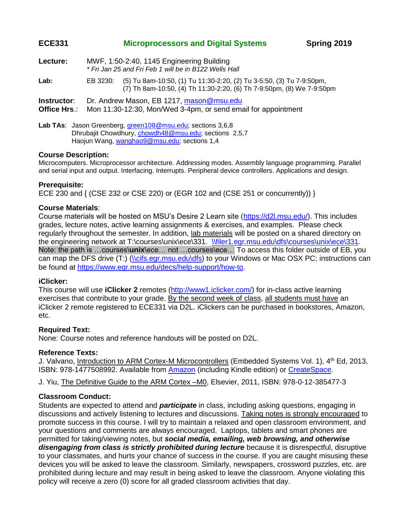# **ECE331 Microprocessors and Digital Systems Spring 2019**

| Lecture: | MWF, 1:50-2:40, 1145 Engineering Building             |  |
|----------|-------------------------------------------------------|--|
|          | * Fri Jan 25 and Fri Feb 1 will be in B122 Wells Hall |  |

**Lab:** EB 3230: (5) Tu 8am-10:50, (1) Tu 11:30-2:20, (2) Tu 3-5:50, (3) Tu 7-9:50pm, (7) Th 8am-10:50, (4) Th 11:30-2:20, (6) Th 7-9:50pm, (8) We 7-9:50pm

**Instructor**: Dr. Andrew Mason, EB 1217, [mason@msu.edu](mailto:mason@msu.edu)

**Office Hrs**.: Mon 11:30-12:30, Mon/Wed 3-4pm, or send email for appointment

Lab TAs: Jason Greenberg, [green108@msu.edu;](mailto:green108@msu.edu) sections 3,6,8 Dhrubajit Chowdhury, [chowdh48@msu.edu;](mailto:chowdh48@msu.edu) sections 2,5,7 Haojun Wang, [wanghao9@msu.edu;](mailto:wanghao9@msu.edu) sections 1,4

## **Course Description:**

Microcomputers. Microprocessor architecture. Addressing modes. Assembly language programming. Parallel and serial input and output. Interfacing. Interrupts. Peripheral device controllers. Applications and design.

## **Prerequisite:**

ECE 230 and { (CSE 232 or CSE 220) or (EGR 102 and (CSE 251 or concurrently)) }

## **Course Materials**:

Course materials will be hosted on MSU's Desire 2 Learn site [\(https://d2l.msu.edu/\)](https://d2l.msu.edu/). This includes grades, lecture notes, active learning assignments & exercises, and examples. Please check regularly throughout the semester. In addition, lab materials will be posted on a shared directory on the engineering network at T:\courses\unix\ece\331. [\\filer1.egr.msu.edu\dfs\courses\unix\ece\331.](file://///filer1.egr.msu.edu/dfs/courses/unix/ece/331/Shared/Library/Keil_Simulator) Note: the path is …courses\**unix**\ece… not …courses\ece… To access this folder outside of EB, you can map the DFS drive (T:) [\(\\cifs.egr.msu.edu\dfs\)](file://///cifs.egr.msu.edu/dfs) to your Windows or Mac OSX PC; instructions can be found at [https://www.egr.msu.edu/decs/help-support/how-to.](https://www.egr.msu.edu/decs/help-support/how-to)

# **iClicker:**

This course will use **iClicker 2** remotes [\(http://www1.iclicker.com/\)](http://www1.iclicker.com/) for in-class active learning exercises that contribute to your grade. By the second week of class, all students must have an iClicker 2 remote registered to ECE331 via D2L. iClickers can be purchased in bookstores, Amazon, etc.

# **Required Text:**

None: Course notes and reference handouts will be posted on D2L.

### **Reference Texts:**

J. Valvano, Introduction to ARM Cortex-M Microcontrollers (Embedded Systems Vol. 1), 4<sup>th</sup> Ed, 2013, ISBN: 978-1477508992. Available from [Amazon](http://www.amazon.com/Embedded-Systems-Introduction-Arm%C2%AE-Cortex/dp/1477508996) (including Kindle edition) or [CreateSpace.](https://www.createspace.com/3884775)

J. Yiu, The Definitive Guide to the ARM Cortex - MO, Elsevier, 2011, ISBN: 978-0-12-385477-3

# **Classroom Conduct:**

Students are expected to attend and *participate* in class, including asking questions, engaging in discussions and actively listening to lectures and discussions. Taking notes is strongly encouraged to promote success in this course. I will try to maintain a relaxed and open classroom environment, and your questions and comments are always encouraged. Laptops, tablets and smart phones are permitted for taking/viewing notes, but *social media, emailing, web browsing, and otherwise disengaging from class is strictly prohibited during lecture* because it is disrespectful, disruptive to your classmates, and hurts your chance of success in the course. If you are caught misusing these devices you will be asked to leave the classroom. Similarly, newspapers, crossword puzzles, etc. are prohibited during lecture and may result in being asked to leave the classroom. Anyone violating this policy will receive a zero (0) score for all graded classroom activities that day.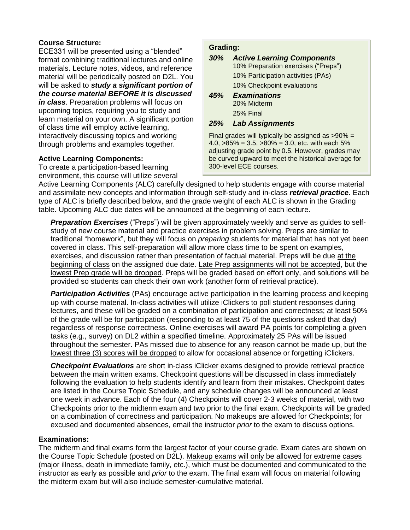# **Course Structure:**

ECE331 will be presented using a "blended" format combining traditional lectures and online materials. Lecture notes, videos, and reference material will be periodically posted on D2L. You will be asked to *study a significant portion of the course material BEFORE it is discussed in class*. Preparation problems will focus on upcoming topics, requiring you to study and learn material on your own. A significant portion of class time will employ active learning, interactively discussing topics and working through problems and examples together.

# **Active Learning Components:**

To create a participation-based learning environment, this course will utilize several

## **Grading:**

## *30% Active Learning Components*

10% Preparation exercises ("Preps")

10% Participation activities (PAs)

- 10% Checkpoint evaluations
- *45% Examinations*  20% Midterm 25% Final

### *25% Lab Assignments*

Final grades will typically be assigned as >90% = 4.0, >85% = 3.5, >80% = 3.0, etc. with each 5% adjusting grade point by 0.5. However, grades may be curved upward to meet the historical average for 300-level ECE courses.

Active Learning Components (ALC) carefully designed to help students engage with course material and assimilate new concepts and information through self-study and in-class *retrieval practice*. Each type of ALC is briefly described below, and the grade weight of each ALC is shown in the Grading table. Upcoming ALC due dates will be announced at the beginning of each lecture.

*Preparation Exercises* ("Preps") will be given approximately weekly and serve as guides to selfstudy of new course material and practice exercises in problem solving. Preps are similar to traditional "homework", but they will focus on *preparing* students for material that has not yet been covered in class. This self-preparation will allow more class time to be spent on examples, exercises, and discussion rather than presentation of factual material. Preps will be due at the beginning of class on the assigned due date. Late Prep assignments will not be accepted, but the lowest Prep grade will be dropped. Preps will be graded based on effort only, and solutions will be provided so students can check their own work (another form of retrieval practice).

*Participation Activities* (PAs) encourage active participation in the learning process and keeping up with course material. In-class activities will utilize iClickers to poll student responses during lectures, and these will be graded on a combination of participation and correctness; at least 50% of the grade will be for participation (responding to at least 75 of the questions asked that day) regardless of response correctness. Online exercises will award PA points for completing a given tasks (e.g., survey) on DL2 within a specified timeline. Approximately 25 PAs will be issued throughout the semester. PAs missed due to absence for any reason cannot be made up, but the lowest three (3) scores will be dropped to allow for occasional absence or forgetting iClickers.

*Checkpoint Evaluations* are short in-class iClicker exams designed to provide retrieval practice between the main written exams. Checkpoint questions will be discussed in class immediately following the evaluation to help students identify and learn from their mistakes. Checkpoint dates are listed in the Course Topic Schedule, and any schedule changes will be announced at least one week in advance. Each of the four (4) Checkpoints will cover 2-3 weeks of material, with two Checkpoints prior to the midterm exam and two prior to the final exam. Checkpoints will be graded on a combination of correctness and participation. No makeups are allowed for Checkpoints; for excused and documented absences, email the instructor *prior* to the exam to discuss options.

# **Examinations:**

The midterm and final exams form the largest factor of your course grade. Exam dates are shown on the Course Topic Schedule (posted on D2L). Makeup exams will only be allowed for extreme cases (major illness, death in immediate family, etc.), which must be documented and communicated to the instructor as early as possible and *prior* to the exam. The final exam will focus on material following the midterm exam but will also include semester-cumulative material.